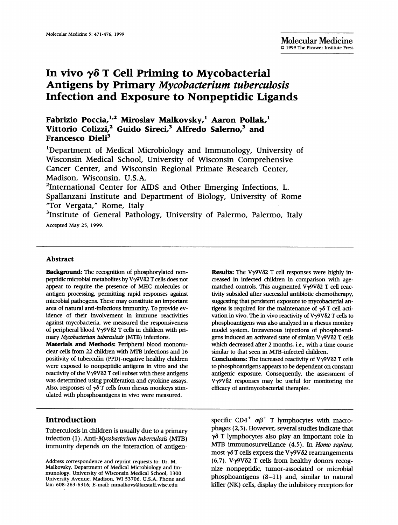# In vivo  $\gamma\delta$  T Cell Priming to Mycobacterial Antigens by Primary Mycobacterium tuberculosis Infection and Exposure to Nonpeptidic Ligands

# Fabrizio Poccia,<sup>1,2</sup> Miroslav Malkovsky,<sup>1</sup> Aaron Pollak,<sup>1</sup> Vittorio Colizzi,<sup>2</sup> Guido Sireci,<sup>3</sup> Alfredo Salerno,<sup>3</sup> and Francesco Dieli<sup>3</sup>

'Department of Medical Microbiology and Immunology, University of Wisconsin Medical School, University of Wisconsin Comprehensive Cancer Center, and Wisconsin Regional Primate Research Center, Madison, Wisconsin, U.S.A.

2International Center for AIDS and Other Emerging Infections, L. Spallanzani Institute and Department of Biology, University of Rome "Tor Vergata," Rome, Italy

<sup>3</sup>Institute of General Pathology, University of Palermo, Palermo, Italy Accepted May 25, 1999.

#### Abstract

Background: The recognition of phosphorylated nonpeptidic microbial metabolites by Vy9V62 T cells does not appear to require the presence of MHC molecules or antigen processing, pennitting rapid responses against microbial pathogens. These may constitute an imnportant area of natural anti-infectious immunity. To provide evidence of their involvement in immune reactivities against mycobacteria, we measured the responsiveness of peripheral blood Vy9V62 T cells in children with primary Mycobacterium tuberculosis (MTB) infections.

Materials and Methods: Peripheral blood mononudear cells from 22 children with MTB infections and <sup>16</sup> positivity of tuberculin (PPD)-negative healthy children were exposed to nonpeptidic antigens in vitro and the reactivity of the Vy9V62 T cell subset with these antigens was determined using proliferation and cytokine assays. Also, responses of  $\gamma\delta$  T cells from rhesus monkeys stimulated with phosphoantigens in vivo were measured.

# Introduction

Tuberculosis in children is usually due to a primary infection (1). Anti-Mycobacterium tuberculosis (MTB) immunity depends on the interaction of antigen-

Results: The V $\gamma$ 9V $\delta$ 2 T cell responses were highly increased in infected children in comparison with agematched controls. This augmented Vy9V62 T cell reactivity subsided after successful antibiotic chemotherapy, suggesting that persistent exposure to mycobacterial antigens is required for the maintenance of  $\gamma\delta$  T cell activation in vivo. The in vivo reactivity of Vy9V82 T cells to phosphoantigens was also analyzed in a rhesus monkey model system. Intravenous injections of phosphoantigens induced an activated state of simian Vy9V82 T cells which decreased after 2 months, i.e., with a time course similar to that seen in MTB-infected children.

Conclusions: The increased reactivity of Vy9V62 T cells to phosphoantigens appears to be dependent on constant antigenic exposure. Consequently, the assessment of V $\gamma$ 9Vδ2 responses may be useful for monitoring the efficacy of antimycobacterial therapies.

specific CD4<sup>+</sup>  $\alpha\beta$ <sup>+</sup> T lymphocytes with macrophages (2,3). However, several studies indicate that y8 T lymphocytes also play an important role in MTB immunosurveillance (4,5). In Homo sapiens, most  $\gamma\delta$  T cells express the V $\gamma$ 9V $\delta$ 2 rearrangements (6,7). V $\gamma$ 9V $\delta$ 2 T cells from healthy donors recognize nonpeptidic, tumor-associated or microbial phosphoantigens (8-11) and, similar to natural killer (NK) cells, display the inhibitory receptors for

Address correspondence and reprint requests to: Dr. M. Malkovsky, Department of Medical Microbiology and Immunology, University of Wisconsin Medical School, 1300 University Avenue, Madison, WI 53706, U.S.A. Phone and fax: 608-263-6316; E-mail: mmalkovs@facstaff.wisc.edu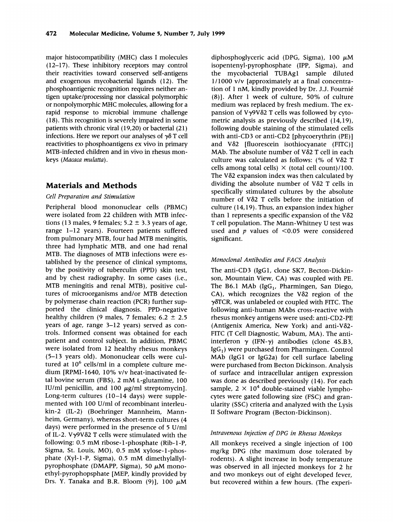major histocompatibility (MHC) class I molecules (12-17). These inhibitory receptors may control their reactivities toward conserved self-antigens and exogenous mycobacterial ligands (12). The phosphoantigenic recognition requires neither antigen uptake/processing nor classical polymorphic or nonpolymorphic MHC molecules, allowing for <sup>a</sup> rapid response to microbial immune challenge (18). This recognition is severely impaired in some patients with chronic viral (19,20) or bacterial (21) infections. Here we report our analyses of  $\gamma\delta$  T cell reactivities to phosphoantigens ex vivo in primary MTB-infected children and in vivo in rhesus monkeys (Macaca mulatta).

# Materials and Methods

# Cell Preparation and Stimulation

Peripheral blood mononuclear cells (PBMC) were isolated from 22 children with MTB infections (13 males, 9 females;  $5.2 \pm 3.3$  years of age, range 1-12 years). Fourteen patients suffered from pulmonary MTB, four had MTB meningitis, three had lymphatic MTB, and one had renal MTB. The diagnoses of MTB infections were established by the presence of clinical symptoms, by the positivity of tuberculin (PPD) skin test, and by chest radiography. In some cases (i.e., MTB meningitis and renal MTB), positive cultures of microorganisms and/or MTB detection by polymerase chain reaction (PCR) further supported the clinical diagnosis. PPD-negative healthy children (9 males, 7 females;  $6.2 \pm 2.5$ years of age, range 3-12 years) served as controls. Informed consent was obtained for each patient and control subject. In addition, PBMC were isolated from 12 healthy rhesus monkeys (5-13 years old). Mononuclear cells were cultured at  $10^6$  cells/ml in a complete culture medium [RPMI-1640, 10% v/v heat-inactivated fetal bovine serum (FBS), <sup>2</sup> mM L-glutamine, <sup>100</sup> IU/ml penicillin, and 100  $\mu$ g/ml streptomycin]. Long-term cultures (10-14 days) were supplemented with 100 U/ml of recombinant interleukin-2 (IL-2) (Boehringer Mannheim, Mannheim, Germany), whereas short-term cultures (4 days) were performed in the presence of <sup>5</sup> U/ml of IL-2. V $\gamma$ 9V $\delta$ 2 T cells were stimulated with the following: 0.5 mM ribose-l-phosphate (Rib-I-P, Sigma, St. Louis, MO), 0.5 mM xylose-l-phosphate (Xyl- <sup>1</sup> -P, Sigma), 0.5 mM dimethylallylpyrophosphate (DMAPP, Sigma), 50  $\mu$ M monoethyl-pyrophopsphate [MEP, kindly provided by Drs. Y. Tanaka and B.R. Bloom (9)], 100  $\mu$ M

diphosphoglyceric acid (DPG, Sigma),  $100 \mu M$ isopentenyl-pyrophosphate (IPP, Sigma), and the mycobacterial TUBAg<sup>1</sup> sample diluted 1/1000 v/v [approximately at a final concentration of <sup>1</sup> nM, kindly provided by Dr. J.J. Fournie (8)]. After <sup>1</sup> week of culture, 50% of culture medium was replaced by fresh medium. The expansion of V $\gamma$ 9V $\delta$ 2 T cells was followed by cytometric analysis as previously described (14,19), following double staining of the stimulated cells with anti-CD3 or anti-CD2 [phycoerythrin (PE)] and V $\delta$ 2 [fluorescein isothiocyanate (FITC)] MAb. The absolute number of  $V\delta 2$  T cell in each culture was calculated as follows: (% of V82 T cells among total cells)  $\times$  (total cell count)/100. The V $\delta$ 2 expansion index was then calculated by dividing the absolute number of  $V\delta 2$  T cells in specifically stimulated cultures by the absolute number of V82 T cells before the initiation of culture (14,19). Thus, an expansion index higher than 1 represents a specific expansion of the  $V\delta2$ T cell population. The Mann-Whitney U test was used and  $p$  values of  $\leq 0.05$  were considered significant.

#### Monoclonal Antibodies and FACS Analysis

The anti-CD3 (IgGI, clone SK7, Becton-Dickinson, Mountain View, CA) was coupled with PE. The B6.1 MAb  $(IgG_1, Pharmingen, San Diego)$  $CA$ ), which recognizes the V $\delta$ 2 region of the y6TCR, was unlabeled or coupled with FITC. The following anti-human MAbs cross-reactive with rhesus monkey antigens were used: anti-CD2-PE (Antigenix America, New York) and anti-V82- FITC (T Cell Diagnostic, Wabum, MA). The antiinterferon  $\gamma$  (IFN- $\gamma$ ) antibodies (clone 4S.B3,  $IgG<sub>1</sub>$ ) were purchased from Pharmingen. Control MAb (IgGI or IgG2a) for cell surface labeling were purchased from Becton Dickinson. Analysis of surface and intracellular antigen expression was done as described previously (14). For each sample,  $2 \times 10^4$  double-stained viable lymphocytes were gated following size (FSC) and granularity (SSC) criteria and analyzed with the Lysis II Software Program (Becton-Dickinson).

#### Intravenous Injection of DPG in Rhesus Monkeys

All monkeys received a single injection of 100 mg/kg DPG (the maximum dose tolerated by rodents). A slight increase in body temperature was observed in all injected monkeys for 2 hr and two monkeys out of eight developed fever, but recovered within a few hours. (The experi-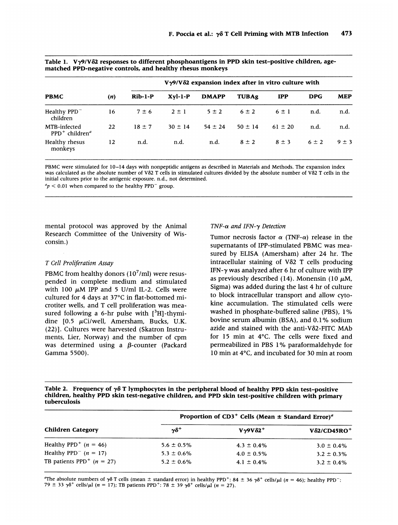|                                                      |     | $V\gamma$ 9/V $\delta$ 2 expansion index after in vitro culture with |             |              |              |             |            |            |
|------------------------------------------------------|-----|----------------------------------------------------------------------|-------------|--------------|--------------|-------------|------------|------------|
| <b>PBMC</b>                                          | (n) | $Rib-1-P$                                                            | $Xvl-1-P$   | <b>DMAPP</b> | <b>TUBAg</b> | <b>IPP</b>  | <b>DPG</b> | <b>MEP</b> |
| Healthy PPD <sup>-</sup><br>children                 | 16  | $7 \pm 6$                                                            | $2 \pm 1$   | $5 \pm 2$    | $6 \pm 2$    | $6 \pm 1$   | n.d.       | n.d.       |
| MTB-infected<br>$PPD^+$ children <sup><i>a</i></sup> | 22  | $18 + 7$                                                             | $30 \pm 14$ | $54 \pm 24$  | $50 \pm 14$  | $61 \pm 20$ | n.d.       | n.d.       |
| Healthy rhesus<br>monkeys                            | 12  | n.d.                                                                 | n.d.        | n.d.         | $8 \pm 2$    | $8 \pm 3$   | $6 \pm 2$  | $9 \pm 3$  |

Table 1.  $V\gamma9/V\delta2$  responses to different phosphoantigens in PPD skin test-positive children, agematched PPD-negative controls, and healthy rhesus monkeys

PBMC were stimulated for 10-14 days with nonpeptidic antigens as described in Materials and Methods. The expansion index was calculated as the absolute number of V82 T cells in stimulated cultures divided by the absolute number of V82 T cells in the initial cultures prior to the antigenic exposure. n.d., not determined.

 $a_p < 0.01$  when compared to the healthy PPD<sup>-</sup> group.

mental protocol was approved by the Animal Research Committee of the University of Wisconsin.)

#### T Cell Proliferation Assay

PBMC from healthy donors  $(10^7 \text{/ml})$  were resuspended in complete medium and stimulated with 100  $\mu$ M IPP and 5 U/ml IL-2. Cells were cultured for 4 days at 37°C in flat-bottomed microtiter wells, and T cell proliferation was measured following a 6-hr pulse with  $[3H]$ -thymidine  $[0.5 \mu\text{Ci/well}, \text{Amersham}, \text{Bucks}, \text{U.K.})$ (22)]. Cultures were harvested (Skatron Instruments, Lier, Norway) and the number of cpm was determined using a  $\beta$ -counter (Packard Gamma 5500).

#### TNF- $\alpha$  and IFN- $\gamma$  Detection

Tumor necrosis factor  $\alpha$  (TNF- $\alpha$ ) release in the supernatants of IPP-stimulated PBMC was measured by ELISA (Amersham) after 24 hr. The intracellular staining of V82 T cells producing IFN- $\gamma$  was analyzed after 6 hr of culture with IPP as previously described (14). Monensin (10  $\mu$ M, Sigma) was added during the last 4 hr of culture to block intracellular transport and allow cytokine accumulation. The stimulated cells were washed in phosphate-buffered saline (PBS), 1% bovine serum albumin (BSA), and 0.1 % sodium azide and stained with the anti-V82-FITC MAb for 15 min at 4°C. The cells were fixed and permeabilized in PBS 1% paraformaldehyde for 10 min at 4°C, and incubated for 30 min at room

Table 2. Frequency of  $\gamma\delta$  T lymphocytes in the peripheral blood of healthy PPD skin test-positive children, healthy PPD skin test-negative children, and PPD skin test-positive children with primary tuberculosis

|                                                    | Proportion of $CD3^+$ Cells (Mean $\pm$ Standard Error) <sup>a</sup> |                      |                                 |  |  |  |
|----------------------------------------------------|----------------------------------------------------------------------|----------------------|---------------------------------|--|--|--|
| <b>Children Category</b>                           | $\gamma\delta^+$                                                     | $V\gamma9V\delta2^+$ | $V\delta$ 2/CD45RO <sup>+</sup> |  |  |  |
| Healthy PPD <sup>+</sup> $(n = 46)$                | $5.6 \pm 0.5\%$                                                      | $4.3 \pm 0.4\%$      | $3.0 \pm 0.4\%$                 |  |  |  |
| Healthy PPD <sup><math>-</math></sup> ( $n = 17$ ) | $5.3 \pm 0.6\%$                                                      | $4.0 \pm 0.5\%$      | $3.2 \pm 0.3\%$                 |  |  |  |
| TB patients PPD <sup>+</sup> $(n = 27)$            | $5.2 \pm 0.6\%$                                                      | $4.1 \pm 0.4\%$      | $3.2 \pm 0.4\%$                 |  |  |  |

<sup>a</sup>The absolute numbers of  $\gamma\delta$  T cells (mean  $\pm$  standard error) in healthy PPD<sup>+</sup>: 84  $\pm$  36  $\gamma\delta^+$  cells/ $\mu$ l (n = 46); healthy PPD<sup>-</sup>: 79 ± 33  $\gamma \delta^+$  cells/ $\mu$ l (n = 17); TB patients PPD<sup>+</sup>: 78 ± 39  $\gamma \delta^+$  cells/ $\mu$ l (n = 27).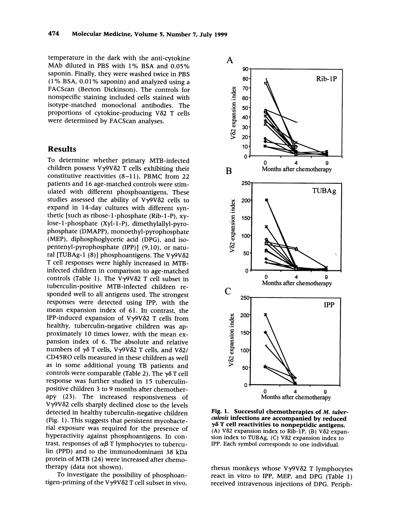temperature in the dark with the anti-cytokine MAb diluted in PBS with 1% BSA and 0.05% saponin. Finally, they were washed twice in PBS (1% BSA, 0.01% saponin) and analyzed using <sup>a</sup> FACScan (Becton Dickinson). The controls for nonspecific staining included cells stained with isotype-matched monoclonal antibodies. The proportions of cytokine-producing V82 T cells were determined by FACScan analyses.

## Results

To determine whether primary MTB-infected children possess  $V\gamma9V\delta2$  T cells exhibiting their constitutive reactivities (8-11), PBMC from 22 patients and 16 age-matched controls were stimulated with different phosphoantigens. These studies assessed the ability of  $V\gamma9V\delta2$  cells to expand in 14-day cultures with different synthetic [such as ribose-1-phosphate (Rib-1-P), xylose- <sup>I</sup> -phosphate (Xyl- <sup>1</sup> -P), dimethylallyl-pyrophosphate (DMAPP), monoethyl-pyrophosphate (MEP), diphosphoglyceric acid (DPG), and isopentenyl-pyrophosphate (IPP)] (9,10), or natural [TUBAg-1 (8)] phosphoantigens. The V $\gamma$ 9V $\delta$ 2 T cell responses were highly increased in MTBinfected children in comparison to age-matched controls (Table 1). The V $\gamma$ 9V $\delta$ 2 T cell subset in tuberculin-positive MTB-infected children responded well to all antigens used. The strongest responses were detected using IPP, with the mean expansion index of 61. In contrast, the IPP-induced expansion of V $\gamma$ 9V $\delta$ 2 T cells from healthy, tuberculin-negative children was approximately 10 times lower, with the mean expansion index of 6. The absolute and relative numbers of y6 T cells, Vy9V62 T cells, and V82/ CD45RO cells measured in these children as well as in some additional young TB patients and controls were comparable (Table 2). The  $\gamma\delta$  T cell response was further studied in 15 tuberculinpositive children 3 to 9 months after chemotherapy (23). The increased responsiveness of Vy9VS2 cells sharply declined close to the levels detected in healthy tuberculin-negative children (Fig. 1). This suggests that persistent mycobacterial exposure was required for the presence of hyperactivity against phosphoantigens. In contrast, responses of  $\alpha\beta$  T lymphocytes to tuberculin (PPD) and to the immunodominant 38 kDa protein of MTB (24) were increased after chemotherapy (data not shown).

To investigate the possibility of phosphoantigen-priming of the Vy9V62 T cell subset in vivo,



Fig. 1. Successful chemotherapies of M. tuberculosis infections are accompanied by reduced  $\gamma\delta$  T cell reactivities to nonpeptidic antigens. (A) V62 expansion index to Rib-iP, (B) V82 expan sion index to TUBAg,  $(C)$  V $\delta$ 2 expansion index to IPP. Each symbol corresponds to one individual.

rhesus monkeys whose Vy9V82 T lymphocytes react in vitro to IPP, MEP, and DPG (Table 1) received intravenous injections of DPG. Periph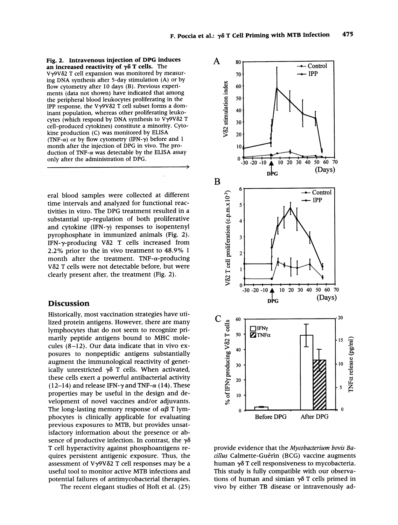Fig. 2. Intravenous injection of DPG induces an increased reactivity of  $\gamma\delta$  T cells. The V<sub>γ</sub>9Vδ2 T cell expansion was monitored by measuring DNA synthesis after 5-day stimulation (A) or by flow cytometry after 10 days (B). Previous experiments (data not shown) have indicated that among the peripheral blood leukocytes proliferating in the IPP response, the V $\gamma$ 9V $\delta$ 2 T cell subset forms a dominant population, whereas other proliferating leukocytes (which respond by DNA synthesis to Vy9V62 T cell-produced cytokines) constitute a minority. Cytokine production (C) was monitored by ELISA (TNF- $\alpha$ ) or by flow cytometry (IFN- $\gamma$ ) before and 1 month after the injection of DPG in vivo. The production of TNF- $\alpha$  was detectable by the ELISA assay only after the administration of DPG.

eral blood samples were collected at different time intervals and analyzed for functional reactivities in vitro. The DPG treatment resulted in <sup>a</sup> substantial up-regulation of both proliferative and cytokine  $(IFN-\gamma)$  responses to isopentenyl pyrophosphate in immunized animals (Fig. 2). IFN-y-producing V62 T cells increased from 2.2% prior to the in vivo treatment to 48.9% <sup>1</sup> month after the treatment. TNF- $\alpha$ -producing V52 T cells were not detectable before, but were clearly present after, the treatment (Fig. 2).

#### **Discussion**

Historically, most vaccination strategies have utilized protein antigens. However, there are many lymphocytes that do not seem to recognize primarily peptide antigens bound to MHC molecules (8-12). Our data indicate that in vivo exposures to nonpeptidic antigens substantially augment the immunological reactivity of genetically unrestricted  $\gamma\delta$  T cells. When activated, these cells exert a powerful antibacterial activity (12-14) and release IFN- $\gamma$  and TNF- $\alpha$  (14). These properties may be useful in the design and development of novel vaccines and/or adjuvants. The long-lasting memory response of  $\alpha\beta$  T lymphocytes is clinically applicable for evaluating previous exposures to MTB, but provides unsatisfactory information about the presence or absence of productive infection. In contrast, the  $\gamma\delta$ T cell hyperactivity against phosphoantigens requires persistent antigenic exposure. Thus, the assessment of  $V\gamma9V\delta2$  T cell responses may be a useful tool to monitor active MTB infections and potential failures of antimycobacterial therapies.

The recent elegant studies of Hoft et al. (25)



provide evidence that the Mycobacterium bovis Bacillus Calmette-Guérin (BCG) vaccine augments human y6 T cell responsiveness to mycobacteria. This study is fully compatible with our observations of human and simian  $\gamma\delta$  T cells primed in vivo by either TB disease or intravenously ad-